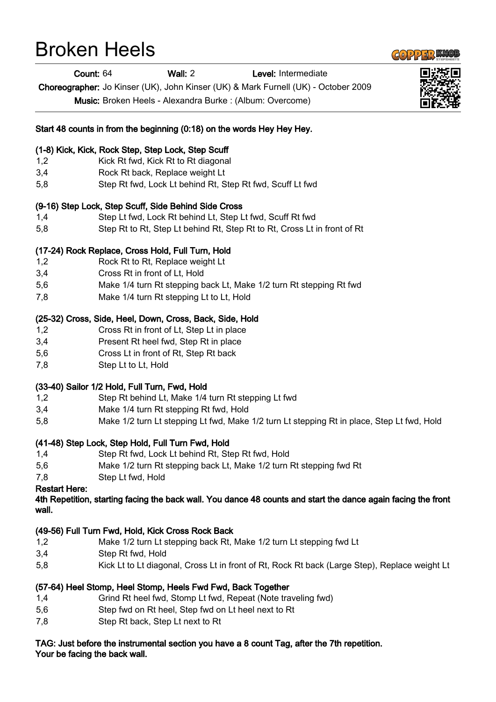# Broken Heels



Count: 64 Wall: 2 Level: Intermediate

Choreographer: Jo Kinser (UK), John Kinser (UK) & Mark Furnell (UK) - October 2009

Music: Broken Heels - Alexandra Burke : (Album: Overcome)

#### Start 48 counts in from the beginning (0:18) on the words Hey Hey Hey.

#### (1-8) Kick, Kick, Rock Step, Step Lock, Step Scuff

- 1,2 Kick Rt fwd, Kick Rt to Rt diagonal
- 3,4 Rock Rt back, Replace weight Lt
- 5,8 Step Rt fwd, Lock Lt behind Rt, Step Rt fwd, Scuff Lt fwd

#### (9-16) Step Lock, Step Scuff, Side Behind Side Cross

- 1,4 Step Lt fwd, Lock Rt behind Lt, Step Lt fwd, Scuff Rt fwd
- 5,8 Step Rt to Rt, Step Lt behind Rt, Step Rt to Rt, Cross Lt in front of Rt

#### (17-24) Rock Replace, Cross Hold, Full Turn, Hold

- 1,2 Rock Rt to Rt, Replace weight Lt
- 3,4 Cross Rt in front of Lt, Hold
- 5,6 Make 1/4 turn Rt stepping back Lt, Make 1/2 turn Rt stepping Rt fwd
- 7,8 Make 1/4 turn Rt stepping Lt to Lt, Hold

#### (25-32) Cross, Side, Heel, Down, Cross, Back, Side, Hold

- 1,2 Cross Rt in front of Lt, Step Lt in place
- 3,4 Present Rt heel fwd, Step Rt in place
- 5,6 Cross Lt in front of Rt, Step Rt back
- 7,8 Step Lt to Lt, Hold

#### (33-40) Sailor 1/2 Hold, Full Turn, Fwd, Hold

- 1,2 Step Rt behind Lt, Make 1/4 turn Rt stepping Lt fwd
- 3,4 Make 1/4 turn Rt stepping Rt fwd, Hold
- 5,8 Make 1/2 turn Lt stepping Lt fwd, Make 1/2 turn Lt stepping Rt in place, Step Lt fwd, Hold

#### (41-48) Step Lock, Step Hold, Full Turn Fwd, Hold

- 1,4 Step Rt fwd, Lock Lt behind Rt, Step Rt fwd, Hold
- 5,6 Make 1/2 turn Rt stepping back Lt, Make 1/2 turn Rt stepping fwd Rt
- 7,8 Step Lt fwd, Hold

#### Restart Here:

4th Repetition, starting facing the back wall. You dance 48 counts and start the dance again facing the front wall.

#### (49-56) Full Turn Fwd, Hold, Kick Cross Rock Back

- 1,2 Make 1/2 turn Lt stepping back Rt, Make 1/2 turn Lt stepping fwd Lt
- 3,4 Step Rt fwd, Hold
- 5,8 Kick Lt to Lt diagonal, Cross Lt in front of Rt, Rock Rt back (Large Step), Replace weight Lt

### (57-64) Heel Stomp, Heel Stomp, Heels Fwd Fwd, Back Together

- 1,4 Grind Rt heel fwd, Stomp Lt fwd, Repeat (Note traveling fwd)
- 5,6 Step fwd on Rt heel, Step fwd on Lt heel next to Rt
- 7,8 Step Rt back, Step Lt next to Rt

## TAG: Just before the instrumental section you have a 8 count Tag, after the 7th repetition.

Your be facing the back wall.